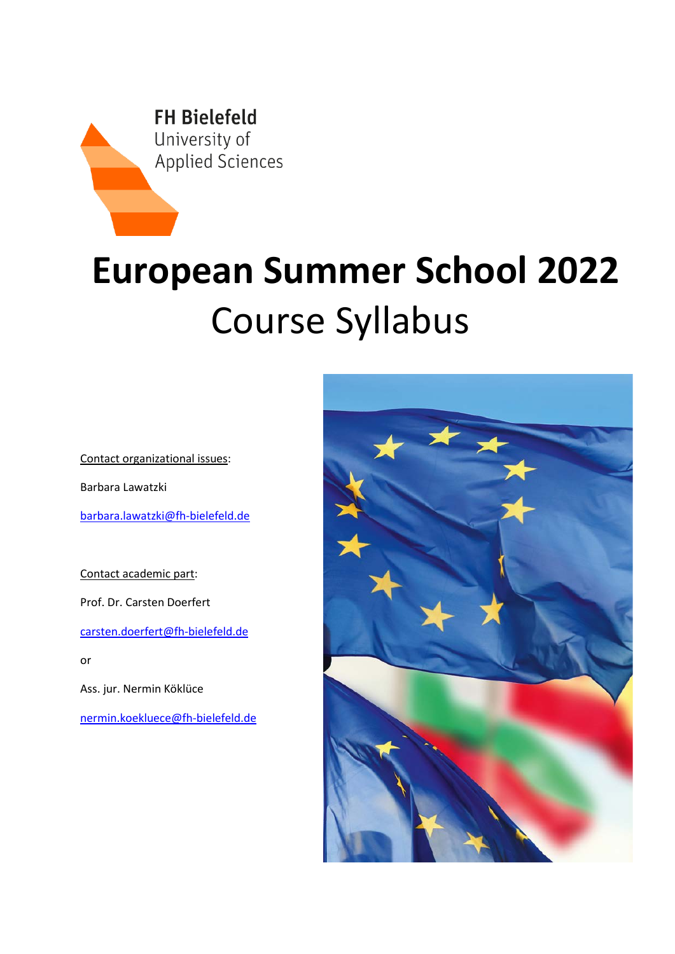

# **European Summer School 2022** Course Syllabus

Contact organizational issues:

Barbara Lawatzki

[barbara.lawatzki@fh-bielefeld.de](mailto:barbara.lawatzki@fh-bielefeld.de)

Contact academic part: Prof. Dr. Carsten Doerfert [carsten.doerfert@fh-bielefeld.de](mailto:carsten.doerfert@fh-bielefeld.de) or Ass. jur. Nermin Köklüce

[nermin.koekluece@fh-bielefeld.de](mailto:nermin.koekluece@fh-bielefeld.de)

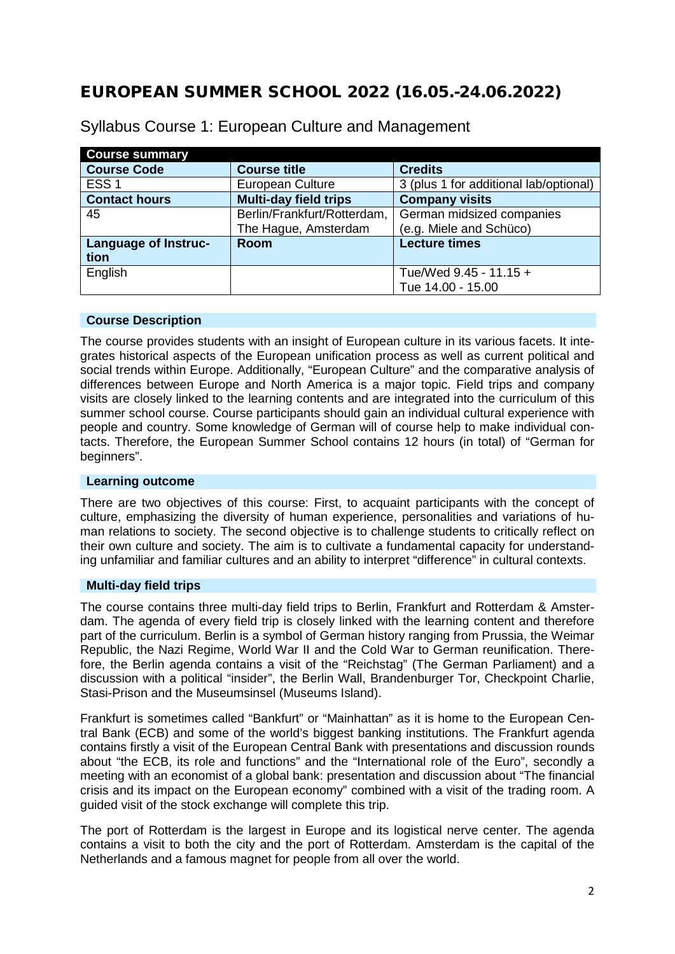# EUROPEAN SUMMER SCHOOL 2022 (16.05.-24.06.2022)

| <b>Course summary</b> |                             |                                        |
|-----------------------|-----------------------------|----------------------------------------|
| <b>Course Code</b>    | <b>Course title</b>         | <b>Credits</b>                         |
| ESS <sub>1</sub>      | European Culture            | 3 (plus 1 for additional lab/optional) |
| <b>Contact hours</b>  | Multi-day field trips       | <b>Company visits</b>                  |
| 45                    | Berlin/Frankfurt/Rotterdam, | German midsized companies              |
|                       | The Hague, Amsterdam        | (e.g. Miele and Schüco)                |
| Language of Instruc-  | Room                        | <b>Lecture times</b>                   |
| tion                  |                             |                                        |
| English               |                             | Tue/Wed 9.45 - 11.15 +                 |
|                       |                             | Tue 14.00 - 15.00                      |

Syllabus Course 1: European Culture and Management

# **Course Description**

The course provides students with an insight of European culture in its various facets. It integrates historical aspects of the European unification process as well as current political and social trends within Europe. Additionally, "European Culture" and the comparative analysis of differences between Europe and North America is a major topic. Field trips and company visits are closely linked to the learning contents and are integrated into the curriculum of this summer school course. Course participants should gain an individual cultural experience with people and country. Some knowledge of German will of course help to make individual contacts. Therefore, the European Summer School contains 12 hours (in total) of "German for beginners".

## **Learning outcome**

There are two objectives of this course: First, to acquaint participants with the concept of culture, emphasizing the diversity of human experience, personalities and variations of human relations to society. The second objective is to challenge students to critically reflect on their own culture and society. The aim is to cultivate a fundamental capacity for understanding unfamiliar and familiar cultures and an ability to interpret "difference" in cultural contexts.

## **Multi-day field trips**

The course contains three multi-day field trips to Berlin, Frankfurt and Rotterdam & Amsterdam. The agenda of every field trip is closely linked with the learning content and therefore part of the curriculum. Berlin is a symbol of German history ranging from Prussia, the Weimar Republic, the Nazi Regime, World War II and the Cold War to German reunification. Therefore, the Berlin agenda contains a visit of the "Reichstag" (The German Parliament) and a discussion with a political "insider", the Berlin Wall, Brandenburger Tor, Checkpoint Charlie, Stasi-Prison and the Museumsinsel (Museums Island).

Frankfurt is sometimes called "Bankfurt" or "Mainhattan" as it is home to the European Central Bank (ECB) and some of the world's biggest banking institutions. The Frankfurt agenda contains firstly a visit of the European Central Bank with presentations and discussion rounds about "the ECB, its role and functions" and the "International role of the Euro", secondly a meeting with an economist of a global bank: presentation and discussion about "The financial crisis and its impact on the European economy" combined with a visit of the trading room. A guided visit of the stock exchange will complete this trip.

The port of Rotterdam is the largest in Europe and its logistical nerve center. The agenda contains a visit to both the city and the port of Rotterdam. Amsterdam is the capital of the Netherlands and a famous magnet for people from all over the world.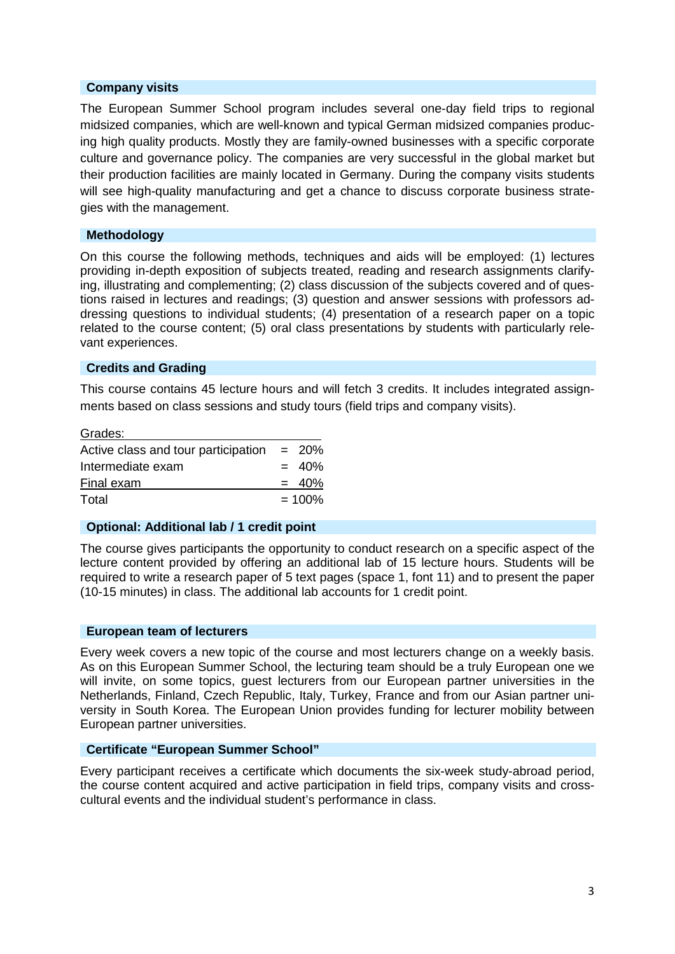# **Company visits**

The European Summer School program includes several one-day field trips to regional midsized companies, which are well-known and typical German midsized companies producing high quality products. Mostly they are family-owned businesses with a specific corporate culture and governance policy. The companies are very successful in the global market but their production facilities are mainly located in Germany. During the company visits students will see high-quality manufacturing and get a chance to discuss corporate business strategies with the management.

## **Methodology**

On this course the following methods, techniques and aids will be employed: (1) lectures providing in-depth exposition of subjects treated, reading and research assignments clarifying, illustrating and complementing; (2) class discussion of the subjects covered and of questions raised in lectures and readings; (3) question and answer sessions with professors addressing questions to individual students; (4) presentation of a research paper on a topic related to the course content; (5) oral class presentations by students with particularly relevant experiences.

## **Credits and Grading**

This course contains 45 lecture hours and will fetch 3 credits. It includes integrated assignments based on class sessions and study tours (field trips and company visits).

| Grades:                             |          |
|-------------------------------------|----------|
| Active class and tour participation | $= 20\%$ |
| Intermediate exam                   | $= 40%$  |
| Final exam                          | $= 40%$  |
| Total                               | $= 100%$ |

## **Optional: Additional lab / 1 credit point**

The course gives participants the opportunity to conduct research on a specific aspect of the lecture content provided by offering an additional lab of 15 lecture hours. Students will be required to write a research paper of 5 text pages (space 1, font 11) and to present the paper (10-15 minutes) in class. The additional lab accounts for 1 credit point.

## **European team of lecturers**

Every week covers a new topic of the course and most lecturers change on a weekly basis. As on this European Summer School, the lecturing team should be a truly European one we will invite, on some topics, guest lecturers from our European partner universities in the Netherlands, Finland, Czech Republic, Italy, Turkey, France and from our Asian partner university in South Korea. The European Union provides funding for lecturer mobility between European partner universities.

# **Certificate "European Summer School"**

Every participant receives a certificate which documents the six-week study-abroad period, the course content acquired and active participation in field trips, company visits and crosscultural events and the individual student's performance in class.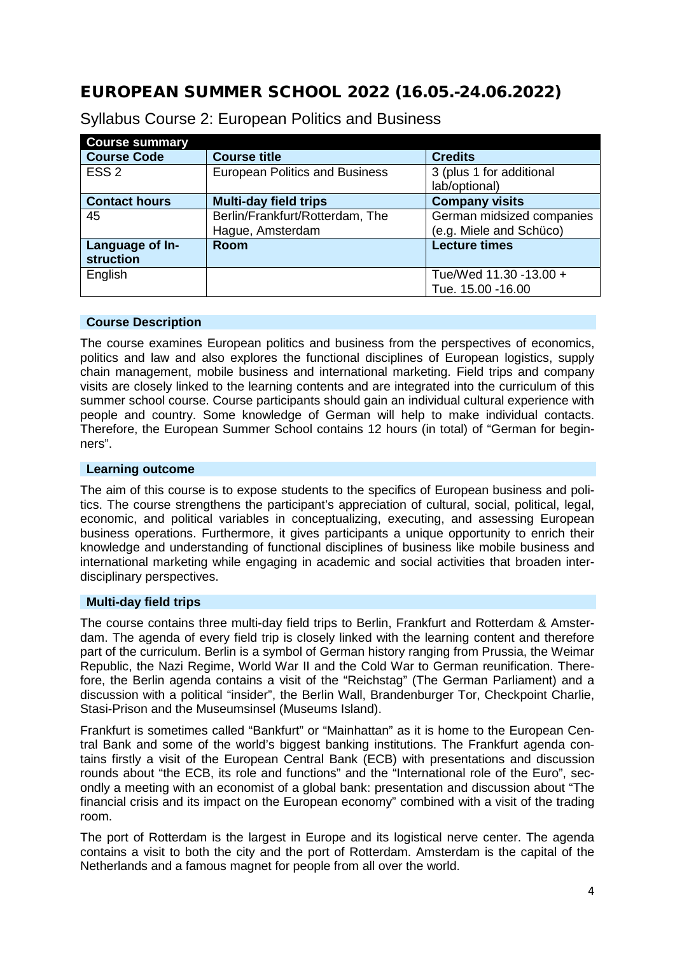# EUROPEAN SUMMER SCHOOL 2022 (16.05.-24.06.2022)

| <b>Course summary</b> |                                       |                           |
|-----------------------|---------------------------------------|---------------------------|
| <b>Course Code</b>    | <b>Course title</b>                   | <b>Credits</b>            |
| ESS <sub>2</sub>      | <b>European Politics and Business</b> | 3 (plus 1 for additional  |
|                       |                                       | lab/optional)             |
| <b>Contact hours</b>  | <b>Multi-day field trips</b>          | <b>Company visits</b>     |
| 45                    | Berlin/Frankfurt/Rotterdam, The       | German midsized companies |
|                       | Hague, Amsterdam                      | (e.g. Miele and Schüco)   |
| Language of In-       | <b>Room</b>                           | <b>Lecture times</b>      |
| struction             |                                       |                           |
| English               |                                       | Tue/Wed 11.30 -13.00 +    |
|                       |                                       | Tue. 15.00 - 16.00        |

Syllabus Course 2: European Politics and Business

# **Course Description**

The course examines European politics and business from the perspectives of economics, politics and law and also explores the functional disciplines of European logistics, supply chain management, mobile business and international marketing. Field trips and company visits are closely linked to the learning contents and are integrated into the curriculum of this summer school course. Course participants should gain an individual cultural experience with people and country. Some knowledge of German will help to make individual contacts. Therefore, the European Summer School contains 12 hours (in total) of "German for beginners".

# **Learning outcome**

The aim of this course is to expose students to the specifics of European business and politics. The course strengthens the participant's appreciation of cultural, social, political, legal, economic, and political variables in conceptualizing, executing, and assessing European business operations. Furthermore, it gives participants a unique opportunity to enrich their knowledge and understanding of functional disciplines of business like mobile business and international marketing while engaging in academic and social activities that broaden interdisciplinary perspectives.

# **Multi-day field trips**

The course contains three multi-day field trips to Berlin, Frankfurt and Rotterdam & Amsterdam. The agenda of every field trip is closely linked with the learning content and therefore part of the curriculum. Berlin is a symbol of German history ranging from Prussia, the Weimar Republic, the Nazi Regime, World War II and the Cold War to German reunification. Therefore, the Berlin agenda contains a visit of the "Reichstag" (The German Parliament) and a discussion with a political "insider", the Berlin Wall, Brandenburger Tor, Checkpoint Charlie, Stasi-Prison and the Museumsinsel (Museums Island).

Frankfurt is sometimes called "Bankfurt" or "Mainhattan" as it is home to the European Central Bank and some of the world's biggest banking institutions. The Frankfurt agenda contains firstly a visit of the European Central Bank (ECB) with presentations and discussion rounds about "the ECB, its role and functions" and the "International role of the Euro", secondly a meeting with an economist of a global bank: presentation and discussion about "The financial crisis and its impact on the European economy" combined with a visit of the trading room.

The port of Rotterdam is the largest in Europe and its logistical nerve center. The agenda contains a visit to both the city and the port of Rotterdam. Amsterdam is the capital of the Netherlands and a famous magnet for people from all over the world.